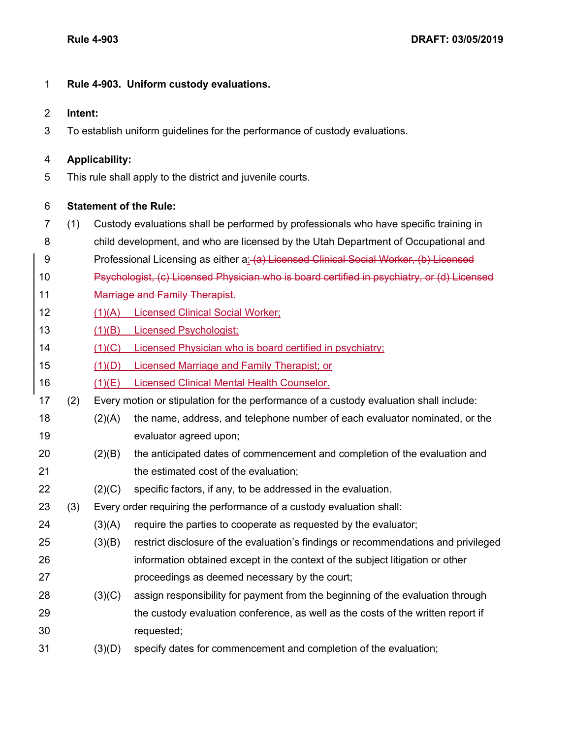## **Rule 4-903. Uniform custody evaluations.**

## **Intent:**

To establish uniform guidelines for the performance of custody evaluations.

## **Applicability:**

This rule shall apply to the district and juvenile courts.

## **Statement of the Rule:**

- (1) Custody evaluations shall be performed by professionals who have specific training in
- child development, and who are licensed by the Utah Department of Occupational and
- 9 Professional Licensing as either a: (a) Licensed Clinical Social Worker, (b) Licensed
- Psychologist, (c) Licensed Physician who is board certified in psychiatry, or (d) Licensed
- 11 Marriage and Family Therapist.
- (1)(A) Licensed Clinical Social Worker;
- (1)(B) Licensed Psychologist;
- (1)(C) Licensed Physician who is board certified in psychiatry;
- (1)(D) Licensed Marriage and Family Therapist; or
- (1)(E) Licensed Clinical Mental Health Counselor.
- (2) Every motion or stipulation for the performance of a custody evaluation shall include:
- (2)(A) the name, address, and telephone number of each evaluator nominated, or the evaluator agreed upon;
- (2)(B) the anticipated dates of commencement and completion of the evaluation and **the estimated cost of the evaluation;**
- (2)(C) specific factors, if any, to be addressed in the evaluation.
- (3) Every order requiring the performance of a custody evaluation shall:
- (3)(A) require the parties to cooperate as requested by the evaluator;
- (3)(B) restrict disclosure of the evaluation's findings or recommendations and privileged information obtained except in the context of the subject litigation or other proceedings as deemed necessary by the court;
- (3)(C) assign responsibility for payment from the beginning of the evaluation through the custody evaluation conference, as well as the costs of the written report if requested;
- (3)(D) specify dates for commencement and completion of the evaluation;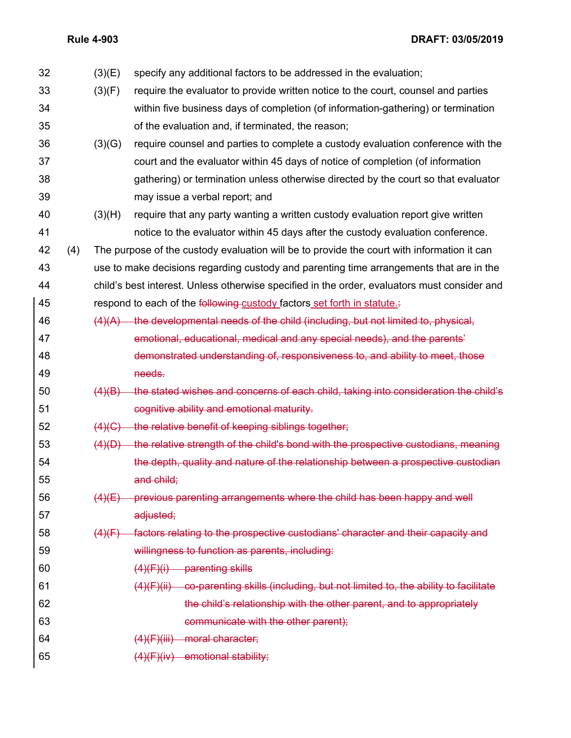**Rule 4-903 DRAFT: 03/05/2019**

| 32 |     | (3)(E) | specify any additional factors to be addressed in the evaluation;                            |
|----|-----|--------|----------------------------------------------------------------------------------------------|
| 33 |     | (3)(F) | require the evaluator to provide written notice to the court, counsel and parties            |
| 34 |     |        | within five business days of completion (of information-gathering) or termination            |
| 35 |     |        | of the evaluation and, if terminated, the reason;                                            |
| 36 |     | (3)(G) | require counsel and parties to complete a custody evaluation conference with the             |
| 37 |     |        | court and the evaluator within 45 days of notice of completion (of information               |
| 38 |     |        | gathering) or termination unless otherwise directed by the court so that evaluator           |
| 39 |     |        | may issue a verbal report; and                                                               |
| 40 |     | (3)(H) | require that any party wanting a written custody evaluation report give written              |
| 41 |     |        | notice to the evaluator within 45 days after the custody evaluation conference.              |
| 42 | (4) |        | The purpose of the custody evaluation will be to provide the court with information it can   |
| 43 |     |        | use to make decisions regarding custody and parenting time arrangements that are in the      |
| 44 |     |        | child's best interest. Unless otherwise specified in the order, evaluators must consider and |
| 45 |     |        | respond to each of the following-custody factors set forth in statute.                       |
| 46 |     |        | $(4)(A)$ the developmental needs of the child (including, but not limited to, physical,      |
| 47 |     |        | emotional, educational, medical and any special needs), and the parents'                     |
| 48 |     |        | demonstrated understanding of, responsiveness to, and ability to meet, those                 |
| 49 |     |        | needs.                                                                                       |
| 50 |     | (4)(B) | the stated wishes and concerns of each child, taking into consideration the child's          |
| 51 |     |        | cognitive ability and emotional maturity.                                                    |
| 52 |     | (4)(G) | the relative benefit of keeping siblings together;                                           |
| 53 |     | (4)(D) | the relative strength of the child's bond with the prospective custodians, meaning           |
| 54 |     |        | the depth, quality and nature of the relationship between a prospective custodian            |
| 55 |     |        | and child;                                                                                   |
| 56 |     |        | $(4)(E)$ previous parenting arrangements where the child has been happy and well             |
| 57 |     |        | adjusted;                                                                                    |
| 58 |     | (4)(F) | factors relating to the prospective custodians' character and their capacity and             |
| 59 |     |        | willingness to function as parents, including:                                               |
| 60 |     |        | $(4)(F)(i)$ parenting skills                                                                 |
| 61 |     |        | $(4)(F)(ii)$ co-parenting skills (including, but not limited to, the ability to facilitate   |
| 62 |     |        | the child's relationship with the other parent, and to appropriately                         |
| 63 |     |        | communicate with the other parent);                                                          |
| 64 |     |        | (4)(F)(iii) moral character;                                                                 |
| 65 |     |        | $(4)(F)(iv)$ emotional stability;                                                            |
|    |     |        |                                                                                              |